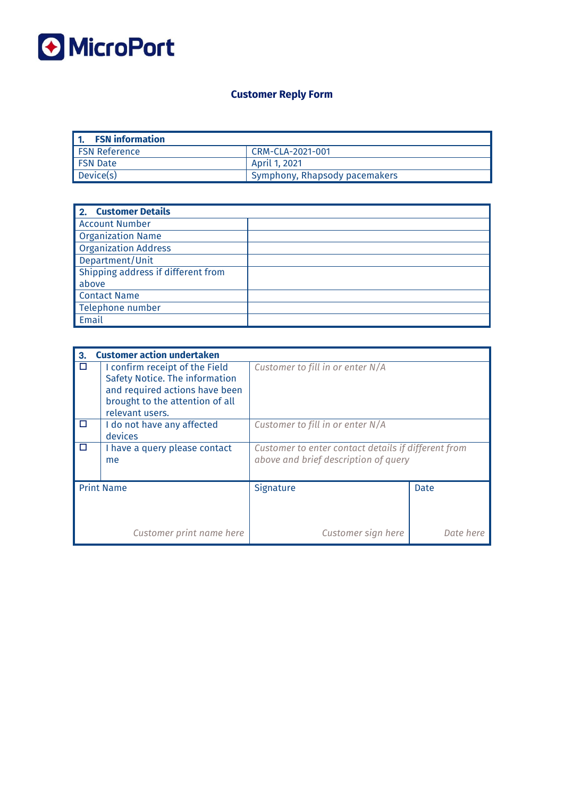

# **Customer Reply Form**

| <b>FSN</b> information |                                 |
|------------------------|---------------------------------|
| <b>FSN Reference</b>   | CRM-CLA-2021-001                |
| l FSN Date             | April 1, 2021                   |
| Device(s)              | ' Symphony, Rhapsody pacemakers |

| <b>Customer Details</b><br>2.      |  |
|------------------------------------|--|
| <b>Account Number</b>              |  |
| <b>Organization Name</b>           |  |
| <b>Organization Address</b>        |  |
| Department/Unit                    |  |
| Shipping address if different from |  |
| above                              |  |
| <b>Contact Name</b>                |  |
| Telephone number                   |  |
| Email                              |  |

| 3.     | <b>Customer action undertaken</b>                                                                                                                        |                                                                                             |           |  |  |  |
|--------|----------------------------------------------------------------------------------------------------------------------------------------------------------|---------------------------------------------------------------------------------------------|-----------|--|--|--|
| $\Box$ | I confirm receipt of the Field<br>Safety Notice. The information<br>and required actions have been<br>brought to the attention of all<br>relevant users. | Customer to fill in or enter N/A                                                            |           |  |  |  |
| □      | I do not have any affected<br>devices                                                                                                                    | Customer to fill in or enter N/A                                                            |           |  |  |  |
| $\Box$ | I have a query please contact<br>me                                                                                                                      | Customer to enter contact details if different from<br>above and brief description of query |           |  |  |  |
|        | <b>Print Name</b>                                                                                                                                        | Signature                                                                                   | Date      |  |  |  |
|        | Customer print name here                                                                                                                                 | Customer sign here                                                                          | Date here |  |  |  |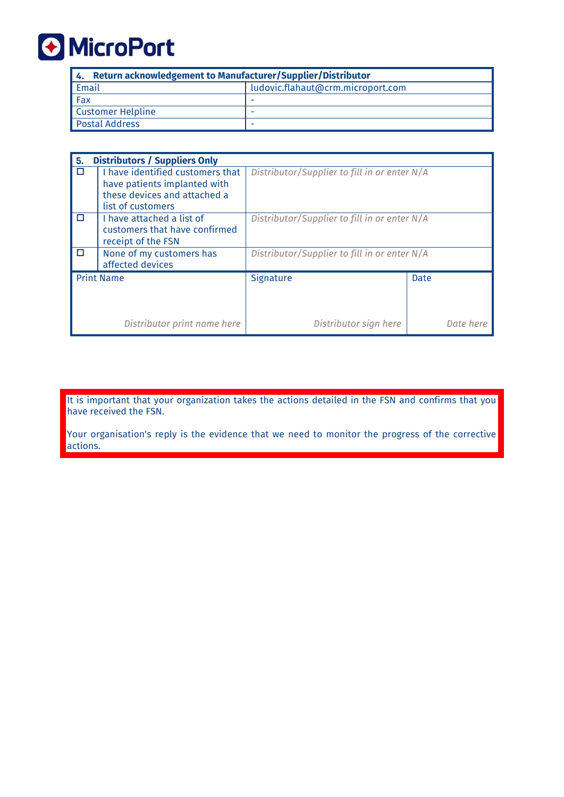

| 4. Return acknowledgement to Manufacturer/Supplier/Distributor |                                   |  |  |
|----------------------------------------------------------------|-----------------------------------|--|--|
| Email                                                          | ludovic.flahaut@crm.microport.com |  |  |
| Fax                                                            |                                   |  |  |
| Customer Helpline                                              |                                   |  |  |
| Postal Address                                                 | -                                 |  |  |

| 5. | <b>Distributors / Suppliers Only</b>                                                                                  |                                              |      |           |  |
|----|-----------------------------------------------------------------------------------------------------------------------|----------------------------------------------|------|-----------|--|
| Г  | I have identified customers that<br>have patients implanted with<br>these devices and attached a<br>list of customers | Distributor/Supplier to fill in or enter N/A |      |           |  |
| п  | I have attached a list of<br>customers that have confirmed<br>receipt of the FSN                                      | Distributor/Supplier to fill in or enter N/A |      |           |  |
| □  | None of my customers has<br>affected devices                                                                          | Distributor/Supplier to fill in or enter N/A |      |           |  |
|    | <b>Print Name</b>                                                                                                     | Signature                                    | Date |           |  |
|    | Distributor print name here                                                                                           | Distributor sign here                        |      | Date here |  |

It is important that your organization takes the actions detailed in the FSN and confirms that you have received the FSN.

Your organisation's reply is the evidence that we need to monitor the progress of the corrective actions.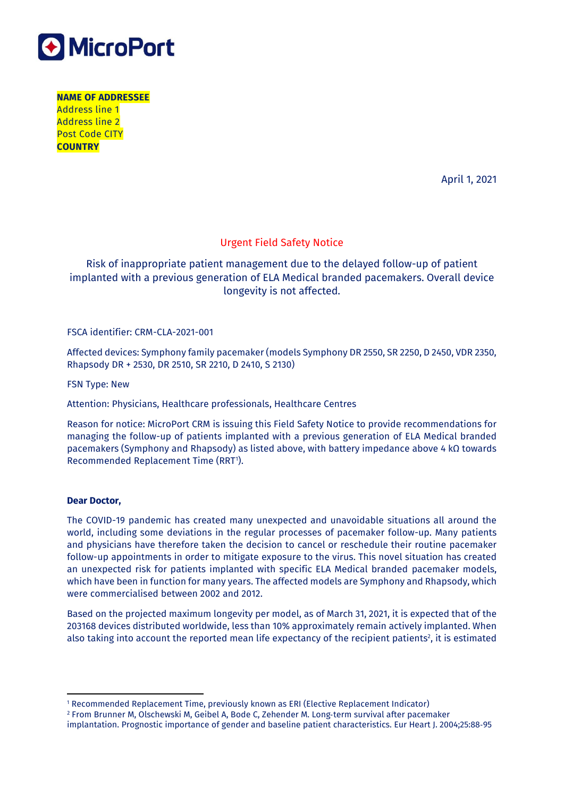

**NAME OF ADDRESSEE** Address line 1 Address line 2 Post Code CITY **COUNTRY**

April 1, 2021

### Urgent Field Safety Notice

## Risk of inappropriate patient management due to the delayed follow-up of patient implanted with a previous generation of ELA Medical branded pacemakers. Overall device longevity is not affected.

#### FSCA identifier: CRM-CLA-2021-001

Affected devices: Symphony family pacemaker (models Symphony DR 2550, SR 2250, D 2450, VDR 2350, Rhapsody DR + 2530, DR 2510, SR 2210, D 2410, S 2130)

FSN Type: New

Attention: Physicians, Healthcare professionals, Healthcare Centres

Reason for notice: MicroPort CRM is issuing this Field Safety Notice to provide recommendations for managing the follow-up of patients implanted with a previous generation of ELA Medical branded pacemakers (Symphony and Rhapsody) as listed above, with battery impedance above 4 kΩ towards Recommended Replacement Time (RRT<sup>1</sup>).

#### **Dear Doctor,**

 $\overline{a}$ 

The COVID-19 pandemic has created many unexpected and unavoidable situations all around the world, including some deviations in the regular processes of pacemaker follow-up. Many patients and physicians have therefore taken the decision to cancel or reschedule their routine pacemaker follow-up appointments in order to mitigate exposure to the virus. This novel situation has created an unexpected risk for patients implanted with specific ELA Medical branded pacemaker models, which have been in function for many years. The affected models are Symphony and Rhapsody, which were commercialised between 2002 and 2012.

Based on the projected maximum longevity per model, as of March 31, 2021, it is expected that of the 203168 devices distributed worldwide, less than 10% approximately remain actively implanted. When also taking into account the reported mean life expectancy of the recipient patients<sup>2</sup>, it is estimated

<sup>1</sup> Recommended Replacement Time, previously known as ERI (Elective Replacement Indicator)

<sup>2</sup> From Brunner M, Olschewski M, Geibel A, Bode C, Zehender M. Long‐term survival after pacemaker

implantation. Prognostic importance of gender and baseline patient characteristics. Eur Heart J. 2004;25:88‐95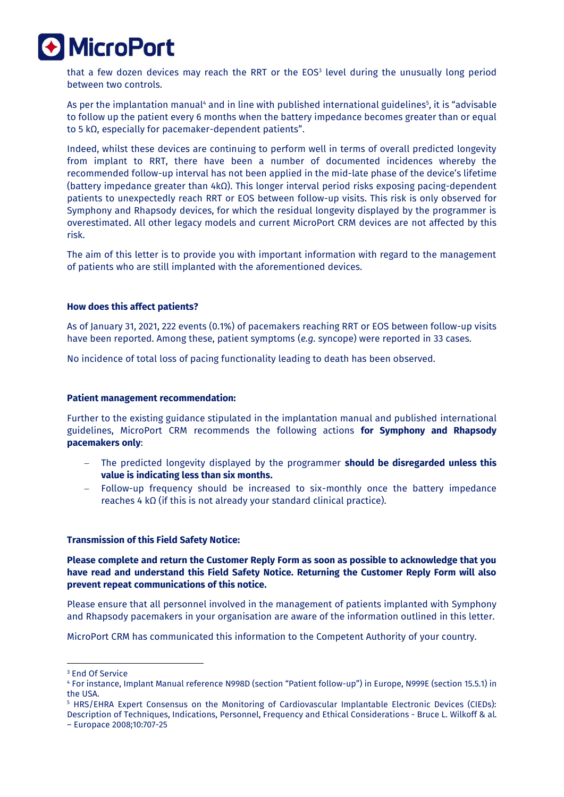

that a few dozen devices may reach the RRT or the EOS<sup>3</sup> level during the unusually long period between two controls.

As per the implantation manual<sup>4</sup> and in line with published international guidelines<sup>s</sup>, it is "advisable to follow up the patient every 6 months when the battery impedance becomes greater than or equal to 5 kΩ, especially for pacemaker-dependent patients".

Indeed, whilst these devices are continuing to perform well in terms of overall predicted longevity from implant to RRT, there have been a number of documented incidences whereby the recommended follow-up interval has not been applied in the mid-late phase of the device's lifetime (battery impedance greater than 4kΩ). This longer interval period risks exposing pacing-dependent patients to unexpectedly reach RRT or EOS between follow-up visits. This risk is only observed for Symphony and Rhapsody devices, for which the residual longevity displayed by the programmer is overestimated. All other legacy models and current MicroPort CRM devices are not affected by this risk.

The aim of this letter is to provide you with important information with regard to the management of patients who are still implanted with the aforementioned devices.

#### **How does this affect patients?**

As of January 31, 2021, 222 events (0.1%) of pacemakers reaching RRT or EOS between follow-up visits have been reported. Among these, patient symptoms (*e.g.* syncope) were reported in 33 cases.

No incidence of total loss of pacing functionality leading to death has been observed.

#### **Patient management recommendation:**

Further to the existing guidance stipulated in the implantation manual and published international guidelines, MicroPort CRM recommends the following actions **for Symphony and Rhapsody pacemakers only**:

- The predicted longevity displayed by the programmer **should be disregarded unless this value is indicating less than six months.**
- Follow-up frequency should be increased to six-monthly once the battery impedance reaches 4 kΩ (if this is not already your standard clinical practice).

#### **Transmission of this Field Safety Notice:**

**Please complete and return the Customer Reply Form as soon as possible to acknowledge that you have read and understand this Field Safety Notice. Returning the Customer Reply Form will also prevent repeat communications of this notice.** 

Please ensure that all personnel involved in the management of patients implanted with Symphony and Rhapsody pacemakers in your organisation are aware of the information outlined in this letter.

MicroPort CRM has communicated this information to the Competent Authority of your country.

1

<sup>3</sup> End Of Service

<sup>4</sup> For instance, Implant Manual reference N998D (section "Patient follow-up") in Europe, N999E (section 15.5.1) in the USA.

<sup>5</sup> HRS/EHRA Expert Consensus on the Monitoring of Cardiovascular Implantable Electronic Devices (CIEDs): Description of Techniques, Indications, Personnel, Frequency and Ethical Considerations - Bruce L. Wilkoff & al. – Europace 2008;10:707-25